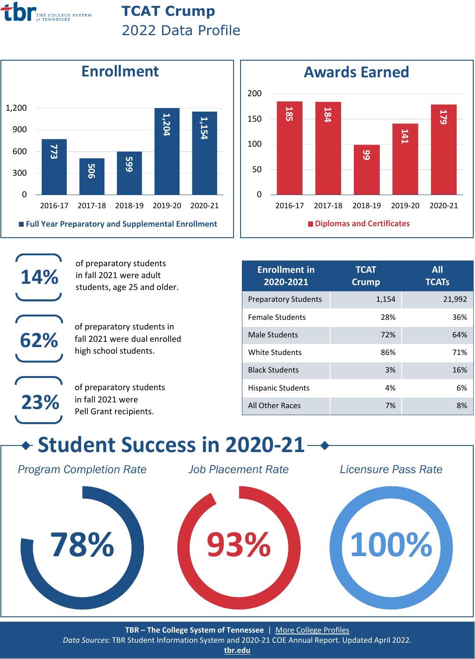

## **TCAT Crump** 2022 Data Profile



of preparatory students in fall 2021 were adult students, age 25 and older.

of preparatory students in fall 2021 were dual enrolled high school students.



**14%**

**62%**

of preparatory students in fall 2021 were Pell Grant recipients.



| <b>Enrollment in</b><br>2020-2021 | <b>TCAT</b><br><b>Crump</b> | All<br><b>TCATs</b> |
|-----------------------------------|-----------------------------|---------------------|
| <b>Preparatory Students</b>       | 1,154                       | 21,992              |
| <b>Female Students</b>            | 28%                         | 36%                 |
| Male Students                     | 72%                         | 64%                 |
| White Students                    | 86%                         | 71%                 |
| <b>Black Students</b>             | 3%                          | 16%                 |
| <b>Hispanic Students</b>          | 4%                          | 6%                  |
| All Other Races                   | 7%                          | 8%                  |

## **Student Success in 2020-21**

*Program Completion Rate*

*Job Placement Rate*

*Licensure Pass Rate*



**TBR – The College System of Tennessee** | [More College Profiles](https://www.tbr.edu/colleges-data-profiles)

*Data Sources*: TBR Student Information System and 2020-21 COE Annual Report. Updated April 2022.

**[tbr.edu](http://www.tbr.edu/)**